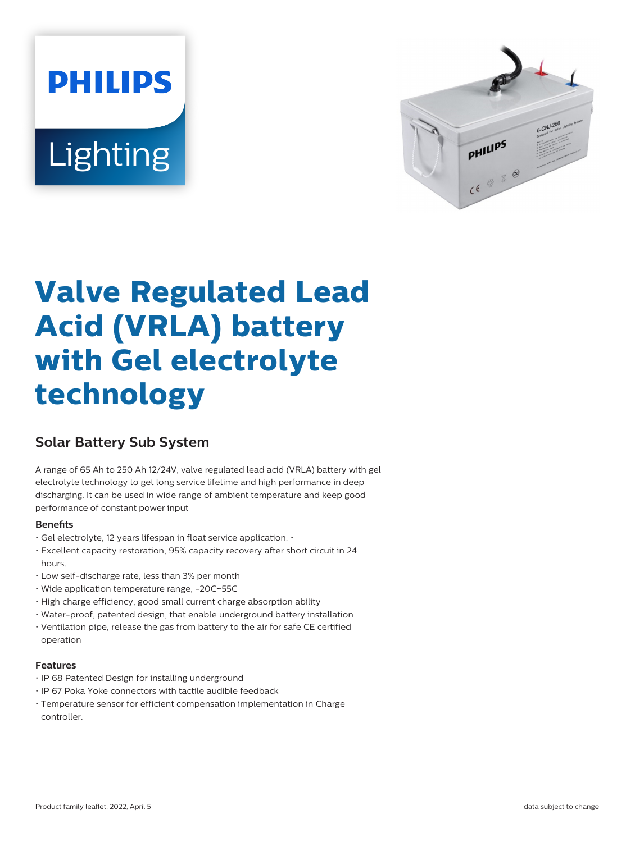# **PHILIPS** Lighting



# **Valve Regulated Lead Acid (VRLA) battery with Gel electrolyte technology**

# **Solar Battery Sub System**

A range of 65 Ah to 250 Ah 12/24V, valve regulated lead acid (VRLA) battery with gel electrolyte technology to get long service lifetime and high performance in deep discharging. It can be used in wide range of ambient temperature and keep good performance of constant power input

#### **Benets**

- Gel electrolyte, 12 years lifespan in float service application. •
- Excellent capacity restoration, 95% capacity recovery after short circuit in 24 hours.
- Low self-discharge rate, less than 3% per month
- Wide application temperature range, -20C~55C
- High charge efficiency, good small current charge absorption ability
- Water-proof, patented design, that enable underground battery installation
- Ventilation pipe, release the gas from battery to the air for safe CE certified operation

#### **Features**

- IP 68 Patented Design for installing underground
- IP 67 Poka Yoke connectors with tactile audible feedback
- Temperature sensor for efficient compensation implementation in Charge controller.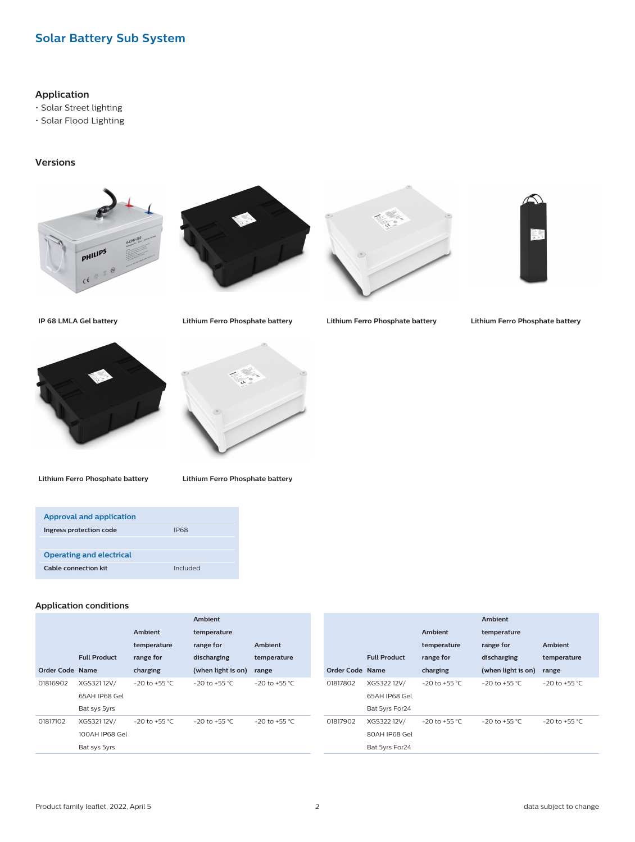## **Solar Battery Sub System**

#### **Application**

• Solar Street lighting

• Solar Flood Lighting

#### **Versions**











**IP 68 LMLA Gel battery Lithium Ferro Phosphate battery Lithium Ferro Phosphate battery Lithium Ferro Phosphate battery**



**Lithium Ferro Phosphate battery Lithium Ferro Phosphate battery**

| Approval and application        |          |
|---------------------------------|----------|
| Ingress protection code         | IP68     |
|                                 |          |
| <b>Operating and electrical</b> |          |
| Cable connection kit            | Included |

#### **Application conditions**

| Ambient                                                                                                            |
|--------------------------------------------------------------------------------------------------------------------|
| <b>Ambient</b><br>temperature                                                                                      |
| Ambient<br>range for<br>temperature                                                                                |
| <b>Full Product</b><br><b>Full Product</b><br>discharging<br>range for<br>temperature                              |
| <b>Order Code Name</b><br>Order Code Name<br>charging<br>(when light is on)<br>range                               |
| XGS32112V/<br>$-20$ to $+55$ °C<br>01817802<br>XGS322 12V/<br>01816902<br>$-20$ to $+55$ °C<br>$-20$ to +55 °C     |
| 65AH IP68 Gel<br>65AH IP68 Gel                                                                                     |
| Bat 5yrs For24<br>Bat sys 5yrs                                                                                     |
| XGS322 12V/<br>01817102<br>XGS32112V/<br>$-20$ to $+55$ °C.<br>01817902<br>$-20$ to $+55$ °C<br>$-20$ to $+55$ °C. |
| 100AH IP68 Gel<br>80AH IP68 Gel                                                                                    |
| Bat sys 5yrs<br>Bat 5yrs For24                                                                                     |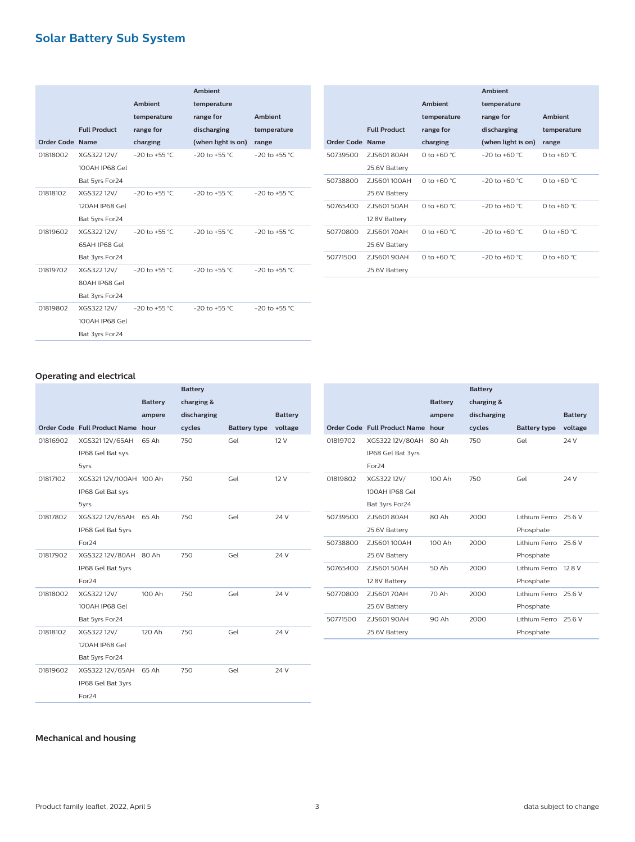# **Solar Battery Sub System**

|                 |                     |                    | <b>Ambient</b>     |                    |
|-----------------|---------------------|--------------------|--------------------|--------------------|
|                 |                     | <b>Ambient</b>     | temperature        |                    |
|                 |                     | temperature        | range for          | <b>Ambient</b>     |
|                 | <b>Full Product</b> | range for          | discharging        | temperature        |
| Order Code Name |                     | charging           | (when light is on) | range              |
| 01818002        | XGS322 12V/         | $-20$ to $+55$ °C. | $-20$ to $+55$ °C. | $-20$ to $+55$ °C. |
|                 | 100AH IP68 Gel      |                    |                    |                    |
|                 | Bat 5yrs For24      |                    |                    |                    |
| 01818102        | XGS322 12V/         | $-20$ to $+55$ °C  | $-20$ to $+55$ °C. | $-20$ to $+55$ °C. |
|                 | 120AH IP68 Gel      |                    |                    |                    |
|                 | Bat 5yrs For24      |                    |                    |                    |
| 01819602        | XGS322 12V/         | $-20$ to $+55$ °C  | $-20$ to $+55$ °C  | $-20$ to $+55$ °C. |
|                 | 65AH IP68 Gel       |                    |                    |                    |
|                 | Bat 3yrs For24      |                    |                    |                    |
| 01819702        | XGS322 12V/         | $-20$ to $+55$ °C  | $-20$ to $+55$ °C. | $-20$ to $+55$ °C. |
|                 | 80AH IP68 Gel       |                    |                    |                    |
|                 | Bat 3yrs For24      |                    |                    |                    |
| 01819802        | XGS322 12V/         | $-20$ to $+55$ °C  | $-20$ to $+55$ °C. | $-20$ to $+55$ °C. |
|                 | 100AH IP68 Gel      |                    |                    |                    |
|                 | Bat 3yrs For24      |                    |                    |                    |

|                 |                     |                       | Ambient            |                |
|-----------------|---------------------|-----------------------|--------------------|----------------|
|                 |                     | Ambient               | temperature        |                |
|                 |                     | temperature           | range for          | <b>Ambient</b> |
|                 | <b>Full Product</b> | range for             | discharging        | temperature    |
| Order Code Name |                     | charging              | (when light is on) | range          |
| 50739500        | ZJS60180AH          | 0 to +60 $^{\circ}$ C | $-20$ to $+60$ °C  | 0 to +60 $°C$  |
|                 | 25.6V Battery       |                       |                    |                |
| 50738800        | ZJS601100AH         | 0 to +60 °C.          | $-20$ to $+60$ °C  | 0 to +60 $°C$  |
|                 | 25.6V Battery       |                       |                    |                |
| 50765400        | ZJS60150AH          | 0 to +60 °C.          | $-20$ to $+60$ °C  | 0 to +60 $°C$  |
|                 | 12.8V Battery       |                       |                    |                |
| 50770800        | ZJS60170AH          | 0 to +60 °C.          | $-20$ to $+60$ °C  | 0 to +60 $°C$  |
|                 | 25.6V Battery       |                       |                    |                |
| 50771500        | ZJS60190AH          | 0 to +60 °C.          | $-20$ to $+60$ °C  | 0 to +60 $°C$  |
|                 | 25.6V Battery       |                       |                    |                |

#### **Operating and electrical**

|          |                                   |                | <b>Battery</b> |                     |                |
|----------|-----------------------------------|----------------|----------------|---------------------|----------------|
|          |                                   | <b>Battery</b> | charging &     |                     |                |
|          |                                   | ampere         | discharging    |                     | <b>Battery</b> |
|          | Order Code Full Product Name hour |                | cycles         | <b>Battery type</b> | voltage        |
| 01816902 | XGS32112V/65AH                    | 65 Ah          | 750            | Gel                 | 12 V           |
|          | IP68 Gel Bat sys                  |                |                |                     |                |
|          | 5yrs                              |                |                |                     |                |
| 01817102 | XGS321 12V/100AH 100 Ah           |                | 750            | Gel                 | 12 V           |
|          | IP68 Gel Bat sys                  |                |                |                     |                |
|          | 5yrs                              |                |                |                     |                |
| 01817802 | XGS322 12V/65AH                   | 65 Ah          | 750            | Gel                 | 24 V           |
|          | IP68 Gel Bat 5yrs                 |                |                |                     |                |
|          | For <sub>24</sub>                 |                |                |                     |                |
| 01817902 | XGS322 12V/80AH 80 Ah             |                | 750            | Gel                 | 24 V           |
|          | IP68 Gel Bat 5yrs                 |                |                |                     |                |
|          | For <sub>24</sub>                 |                |                |                     |                |
| 01818002 | XGS322 12V/                       | 100 Ah         | 750            | Gel                 | 24 V           |
|          | 100AH IP68 Gel                    |                |                |                     |                |
|          | Bat 5yrs For24                    |                |                |                     |                |
| 01818102 | XGS322 12V/                       | 120 Ah         | 750            | Gel                 | 24 V           |
|          | 120AH IP68 Gel                    |                |                |                     |                |
|          | Bat 5yrs For24                    |                |                |                     |                |
| 01819602 | XGS322 12V/65AH                   | 65 Ah          | 750            | Gel                 | 24 V           |
|          | IP68 Gel Bat 3yrs                 |                |                |                     |                |
|          | For <sub>24</sub>                 |                |                |                     |                |
|          |                                   |                |                |                     |                |

|          |                                   | <b>Battery</b><br>ampere | <b>Battery</b><br>charging &<br>discharging |                      | <b>Battery</b> |
|----------|-----------------------------------|--------------------------|---------------------------------------------|----------------------|----------------|
|          | Order Code Full Product Name hour |                          | cycles                                      | <b>Battery type</b>  | voltage        |
| 01819702 | XGS322 12V/80AH                   | 80 Ah                    | 750                                         | Gel                  | 24 V           |
|          | IP68 Gel Bat 3yrs                 |                          |                                             |                      |                |
|          | For <sub>24</sub>                 |                          |                                             |                      |                |
| 01819802 | XGS322 12V/                       | 100 Ah                   | 750                                         | Gel                  | 24 V           |
|          | 100AH IP68 Gel                    |                          |                                             |                      |                |
|          | Bat 3yrs For24                    |                          |                                             |                      |                |
| 50739500 | ZJS60180AH                        | 80Ah                     | 2000                                        | Lithium Ferro 25.6 V |                |
|          | 25.6V Battery                     |                          |                                             | Phosphate            |                |
| 50738800 | ZJS601100AH                       | 100 Ah                   | 2000                                        | Lithium Ferro        | 25.6 V         |
|          | 25.6V Battery                     |                          |                                             | Phosphate            |                |
| 50765400 | ZJS60150AH                        | 50 Ah                    | 2000                                        | Lithium Ferro        | 12.8 V         |
|          | 12.8V Battery                     |                          |                                             | Phosphate            |                |
| 50770800 | ZJS60170AH                        | 70 Ah                    | 2000                                        | Lithium Ferro        | 25.6 V         |
|          | 25.6V Battery                     |                          |                                             | Phosphate            |                |
| 50771500 | ZJS60190AH                        | 90 Ah                    | 2000                                        | Lithium Ferro        | 25.6 V         |
|          | 25.6V Battery                     |                          |                                             | Phosphate            |                |
|          |                                   |                          |                                             |                      |                |

#### **Mechanical and housing**